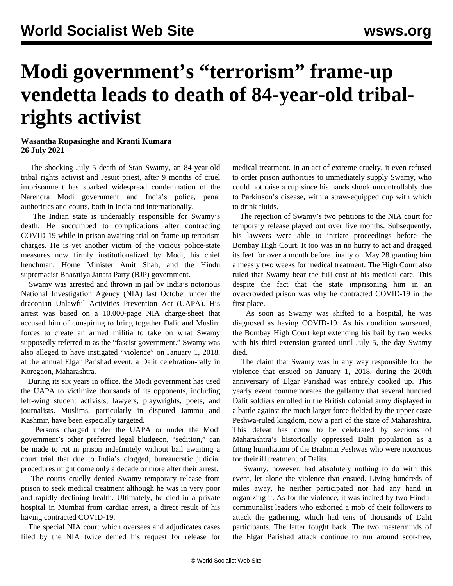## **Modi government's "terrorism" frame-up vendetta leads to death of 84-year-old tribalrights activist**

## **Wasantha Rupasinghe and Kranti Kumara 26 July 2021**

 The shocking July 5 death of Stan Swamy, an 84-year-old tribal rights activist and Jesuit priest, after 9 months of cruel imprisonment has sparked widespread condemnation of the Narendra Modi government and India's police, penal authorities and courts, both in India and internationally.

 The Indian state is undeniably responsible for Swamy's death. He succumbed to complications after contracting COVID-19 while in prison awaiting trial on frame-up terrorism charges. He is yet another victim of the vicious police-state measures now firmly institutionalized by Modi, his chief henchman, Home Minister Amit Shah, and the Hindu supremacist Bharatiya Janata Party (BJP) government.

 Swamy was arrested and thrown in jail by India's notorious National Investigation Agency (NIA) last October under the draconian Unlawful Activities Prevention Act (UAPA). His arrest was based on a 10,000-page NIA charge-sheet that accused him of conspiring to bring together Dalit and Muslim forces to create an armed militia to take on what Swamy supposedly referred to as the "fascist government." Swamy was also alleged to have instigated "violence" on January 1, 2018, at the annual Elgar Parishad event, a Dalit celebration-rally in Koregaon, Maharashtra.

 During its six years in office, the Modi government has used the UAPA to victimize thousands of its opponents, including left-wing student activists, lawyers, playwrights, poets, and journalists. Muslims, particularly in disputed Jammu and Kashmir, have been especially targeted.

 Persons charged under the UAPA or under the Modi government's other preferred legal bludgeon, "sedition," can be made to rot in prison indefinitely without bail awaiting a court trial that due to India's clogged, bureaucratic judicial procedures might come only a decade or more after their arrest.

 The courts cruelly denied Swamy temporary release from prison to seek medical treatment although he was in very poor and rapidly declining health. Ultimately, he died in a private hospital in Mumbai from cardiac arrest, a direct result of his having contracted COVID-19.

 The special NIA court which oversees and adjudicates cases filed by the NIA twice denied his request for release for medical treatment. In an act of extreme cruelty, it even refused to order prison authorities to immediately supply Swamy, who could not raise a cup since his hands shook uncontrollably due to Parkinson's disease, with a straw-equipped cup with which to drink fluids.

 The rejection of Swamy's two petitions to the NIA court for temporary release played out over five months. Subsequently, his lawyers were able to initiate proceedings before the Bombay High Court. It too was in no hurry to act and dragged its feet for over a month before finally on May 28 granting him a measly two weeks for medical treatment. The High Court also ruled that Swamy bear the full cost of his medical care. This despite the fact that the state imprisoning him in an overcrowded prison was why he contracted COVID-19 in the first place.

 As soon as Swamy was shifted to a hospital, he was diagnosed as having COVID-19. As his condition worsened, the Bombay High Court kept extending his bail by two weeks with his third extension granted until July 5, the day Swamy died.

 The claim that Swamy was in any way responsible for the violence that ensued on January 1, 2018, during the 200th anniversary of Elgar Parishad was entirely cooked up. This yearly event commemorates the gallantry that several hundred Dalit soldiers enrolled in the British colonial army displayed in a battle against the much larger force fielded by the upper caste Peshwa-ruled kingdom, now a part of the state of Maharashtra. This defeat has come to be celebrated by sections of Maharashtra's historically oppressed Dalit population as a fitting humiliation of the Brahmin Peshwas who were notorious for their ill treatment of Dalits.

 Swamy, however, had absolutely nothing to do with this event, let alone the violence that ensued. Living hundreds of miles away, he neither participated nor had any hand in organizing it. As for the violence, it was incited by two Hinducommunalist leaders who exhorted a mob of their followers to attack the gathering, which had tens of thousands of Dalit participants. The latter fought back. The two masterminds of the Elgar Parishad attack continue to run around scot-free,